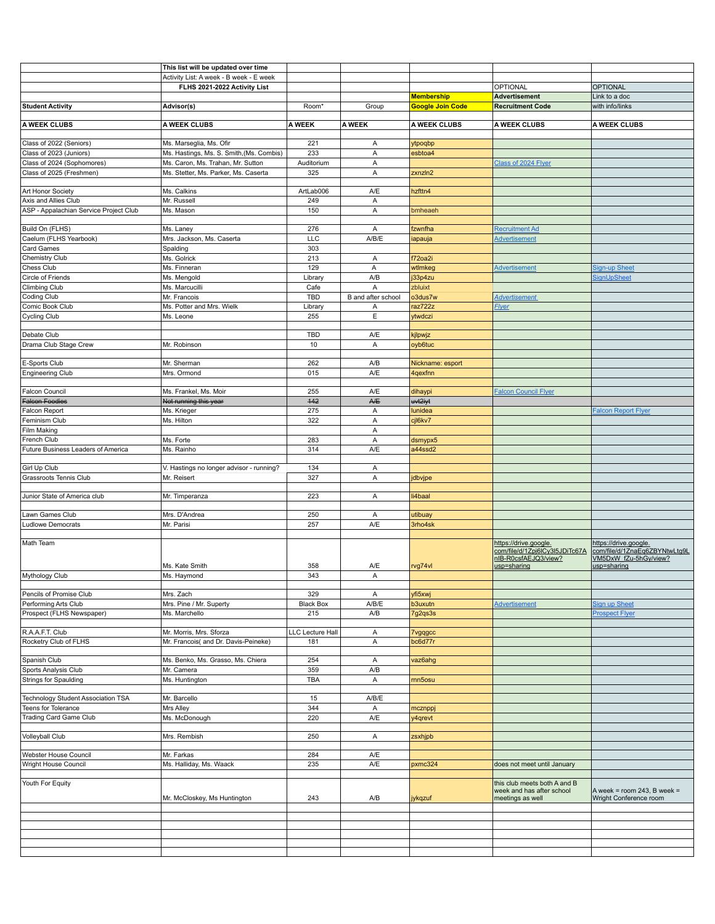|                                        | This list will be updated over time      |                  |                    |                         |                                                                                                |                                                                                                |
|----------------------------------------|------------------------------------------|------------------|--------------------|-------------------------|------------------------------------------------------------------------------------------------|------------------------------------------------------------------------------------------------|
|                                        | Activity List: A week - B week - E week  |                  |                    |                         |                                                                                                |                                                                                                |
|                                        | FLHS 2021-2022 Activity List             |                  |                    |                         | OPTIONAL                                                                                       | <b>OPTIONAL</b>                                                                                |
|                                        |                                          |                  |                    |                         |                                                                                                |                                                                                                |
|                                        |                                          |                  |                    | <b>Membership</b>       | Advertisement                                                                                  | Link to a doc                                                                                  |
| <b>Student Activity</b>                | Advisor(s)                               | Room*            | Group              | <b>Google Join Code</b> | <b>Recruitment Code</b>                                                                        | with info/links                                                                                |
| A WEEK CLUBS                           | A WEEK CLUBS                             | A WEEK           | A WEEK             | A WEEK CLUBS            | A WEEK CLUBS                                                                                   | A WEEK CLUBS                                                                                   |
| Class of 2022 (Seniors)                | Ms. Marseglia, Ms. Ofir                  | 221              | Α                  | ytpoqbp                 |                                                                                                |                                                                                                |
|                                        |                                          | 233              |                    |                         |                                                                                                |                                                                                                |
| Class of 2023 (Juniors)                | Ms. Hastings, Ms. S. Smith, (Ms. Combis) |                  | Α                  | esbtoa4                 |                                                                                                |                                                                                                |
| Class of 2024 (Sophomores)             | Ms. Caron, Ms. Trahan, Mr. Sutton        | Auditorium       | Α                  |                         | Class of 2024 Flyer                                                                            |                                                                                                |
| Class of 2025 (Freshmen)               | Ms. Stetter, Ms. Parker, Ms. Caserta     | 325              | Α                  | zxnzln2                 |                                                                                                |                                                                                                |
|                                        |                                          |                  |                    |                         |                                                                                                |                                                                                                |
| Art Honor Society                      | Ms. Calkins                              | ArtLab006        | A/E                | hzfttn4                 |                                                                                                |                                                                                                |
| Axis and Allies Club                   | Mr. Russell                              | 249              | Α                  |                         |                                                                                                |                                                                                                |
| ASP - Appalachian Service Project Club | Ms. Mason                                | 150              | Α                  | bmheaeh                 |                                                                                                |                                                                                                |
|                                        |                                          |                  |                    |                         |                                                                                                |                                                                                                |
| Build On (FLHS)                        | Ms. Laney                                | 276              | Α                  | fzwnfha                 | <b>Recruitment Ad</b>                                                                          |                                                                                                |
| Caelum (FLHS Yearbook)                 | Mrs. Jackson, Ms. Caserta                | LLC              | A/B/E              | iapauja                 | <b>Advertisement</b>                                                                           |                                                                                                |
| Card Games                             | Spalding                                 | 303              |                    |                         |                                                                                                |                                                                                                |
| Chemistry Club                         | Ms. Golrick                              | 213              | Α                  | f72oa2i                 |                                                                                                |                                                                                                |
| Chess Club                             | Ms. Finneran                             | 129              | Α                  | wtlmkeg                 | <b>Advertisement</b>                                                                           | <b>Sign-up Sheet</b>                                                                           |
| Circle of Friends                      | Ms. Mengold                              | Library          | A/B                | j33p4zu                 |                                                                                                | SignUpSheet                                                                                    |
|                                        |                                          |                  |                    |                         |                                                                                                |                                                                                                |
| Climbing Club                          | Ms. Marcucilli                           | Cafe             | A                  | zbluixt                 |                                                                                                |                                                                                                |
| Coding Club                            | Mr. Francois                             | <b>TBD</b>       | B and after school | o3dus7w                 | <b>Advertisement</b>                                                                           |                                                                                                |
| Comic Book Club                        | Ms. Potter and Mrs. Wielk                | Library          | Α                  | raz722z                 | <b>Flyer</b>                                                                                   |                                                                                                |
| <b>Cycling Club</b>                    | Ms. Leone                                | 255              | E                  | ytwdczi                 |                                                                                                |                                                                                                |
|                                        |                                          |                  |                    |                         |                                                                                                |                                                                                                |
| Debate Club                            |                                          | <b>TBD</b>       | A/E                | kjlpwjz                 |                                                                                                |                                                                                                |
| Drama Club Stage Crew                  | Mr. Robinson                             | 10               | Α                  | oyb6tuc                 |                                                                                                |                                                                                                |
|                                        |                                          |                  |                    |                         |                                                                                                |                                                                                                |
| E-Sports Club                          | Mr. Sherman                              | 262              | A/B                | Nickname: esport        |                                                                                                |                                                                                                |
| <b>Engineering Club</b>                | Mrs. Ormond                              | 015              | A/E                | 4qexfnn                 |                                                                                                |                                                                                                |
|                                        |                                          |                  |                    |                         |                                                                                                |                                                                                                |
| <b>Falcon Council</b>                  | Ms. Frankel, Ms. Moir                    | 255              | A/E                |                         |                                                                                                |                                                                                                |
|                                        |                                          |                  |                    | dihaypi                 | <b>Falcon Council Flyer</b>                                                                    |                                                                                                |
| <b>Falcon Foodies</b>                  | Not running this year                    | 442              | <b>A/E</b>         | uvt2iyt                 |                                                                                                |                                                                                                |
| Falcon Report                          | Ms. Krieger                              | 275              | Α                  | lunidea                 |                                                                                                | <b>Falcon Report Flyer</b>                                                                     |
| Feminism Club                          | Ms. Hilton                               | 322              | Α                  | cjl6kv7                 |                                                                                                |                                                                                                |
| Film Making                            |                                          |                  | Α                  |                         |                                                                                                |                                                                                                |
| French Club                            | Ms. Forte                                | 283              | Α                  | dsmypx5                 |                                                                                                |                                                                                                |
| Future Business Leaders of America     | Ms. Rainho                               | 314              | A/E                | a44ssd2                 |                                                                                                |                                                                                                |
|                                        |                                          |                  |                    |                         |                                                                                                |                                                                                                |
| Girl Up Club                           | V. Hastings no longer advisor - running? | 134              | Α                  |                         |                                                                                                |                                                                                                |
| Grassroots Tennis Club                 | Mr. Reisert                              | 327              | Α                  | jdbvjpe                 |                                                                                                |                                                                                                |
|                                        |                                          |                  |                    |                         |                                                                                                |                                                                                                |
| Junior State of America club           | Mr. Timperanza                           | 223              | Α                  | li4baal                 |                                                                                                |                                                                                                |
|                                        |                                          |                  |                    |                         |                                                                                                |                                                                                                |
| Lawn Games Club                        | Mrs. D'Andrea                            | 250              | Α                  |                         |                                                                                                |                                                                                                |
|                                        |                                          |                  |                    | utibuay                 |                                                                                                |                                                                                                |
| <b>Ludlowe Democrats</b>               | Mr. Parisi                               | 257              | A/E                | 3rho4sk                 |                                                                                                |                                                                                                |
| Math Team                              | Ms. Kate Smith                           | 358              | A/E                | rvg74vl                 | https://drive.google.<br>com/file/d/1Zpj6lCy3l5JDiTc67A<br>nIB-R0csfAEJQ3/view?<br>usp=sharing | https://drive.google.<br>com/file/d/1ZnaEq6ZBYNtwLtg9L<br>VM5DxW fZu-5hGy/view?<br>usp=sharing |
| Mythology Club                         | Ms. Haymond                              | 343              | Α                  |                         |                                                                                                |                                                                                                |
|                                        |                                          |                  |                    |                         |                                                                                                |                                                                                                |
| Pencils of Promise Club                | Mrs. Zach                                | 329              | Α                  | yfi5xwj                 |                                                                                                |                                                                                                |
| Performing Arts Club                   | Mrs. Pine / Mr. Superty                  | <b>Black Box</b> | A/B/E              | b3uxutn                 | <b>Advertisement</b>                                                                           | <b>Sign up Sheet</b>                                                                           |
| Prospect (FLHS Newspaper)              | Ms. Marchello                            | 215              | A/B                | 7g2qs3s                 |                                                                                                | <b>Prospect Flyer</b>                                                                          |
|                                        |                                          |                  |                    |                         |                                                                                                |                                                                                                |
|                                        |                                          |                  |                    |                         |                                                                                                |                                                                                                |
| R.A.A.F.T. Club                        | Mr. Morris, Mrs. Sforza                  | LLC Lecture Hall | Α                  | <b>7vgqgcc</b>          |                                                                                                |                                                                                                |
| Rocketry Club of FLHS                  | Mr. Francois( and Dr. Davis-Peineke)     | 181              | Α                  | bc6d77r                 |                                                                                                |                                                                                                |
|                                        |                                          |                  |                    |                         |                                                                                                |                                                                                                |
| Spanish Club                           | Ms. Benko, Ms. Grasso, Ms. Chiera        | 254              | Α                  | vaz6ahg                 |                                                                                                |                                                                                                |
| Sports Analysis Club                   | Mr. Camera                               | 359              | A/B                |                         |                                                                                                |                                                                                                |
| Strings for Spaulding                  | Ms. Huntington                           | TBA              | Α                  | rnn5osu                 |                                                                                                |                                                                                                |
|                                        |                                          |                  |                    |                         |                                                                                                |                                                                                                |
| Technology Student Association TSA     | Mr. Barcello                             | 15               | A/B/E              |                         |                                                                                                |                                                                                                |
| Teens for Tolerance                    | Mrs Alley                                | 344              | Α                  | mcznppj                 |                                                                                                |                                                                                                |
| Trading Card Game Club                 | Ms. McDonough                            | 220              | A/E                | y4qrevt                 |                                                                                                |                                                                                                |
|                                        |                                          |                  |                    |                         |                                                                                                |                                                                                                |
| Volleyball Club                        | Mrs. Rembish                             | 250              | Α                  | zsxhjpb                 |                                                                                                |                                                                                                |
|                                        |                                          |                  |                    |                         |                                                                                                |                                                                                                |
| Webster House Council                  | Mr. Farkas                               | 284              | A/E                |                         |                                                                                                |                                                                                                |
| Wright House Council                   | Ms. Halliday, Ms. Waack                  | 235              | A/E                | pxmc324                 | does not meet until January                                                                    |                                                                                                |
|                                        |                                          |                  |                    |                         |                                                                                                |                                                                                                |
| Youth For Equity                       | Mr. McCloskey, Ms Huntington             | 243              | A/B                | jykqzuf                 | this club meets both A and B<br>week and has after school<br>meetings as well                  | A week = room 243, B week =<br>Wright Conference room                                          |
|                                        |                                          |                  |                    |                         |                                                                                                |                                                                                                |
|                                        |                                          |                  |                    |                         |                                                                                                |                                                                                                |
|                                        |                                          |                  |                    |                         |                                                                                                |                                                                                                |
|                                        |                                          |                  |                    |                         |                                                                                                |                                                                                                |
|                                        |                                          |                  |                    |                         |                                                                                                |                                                                                                |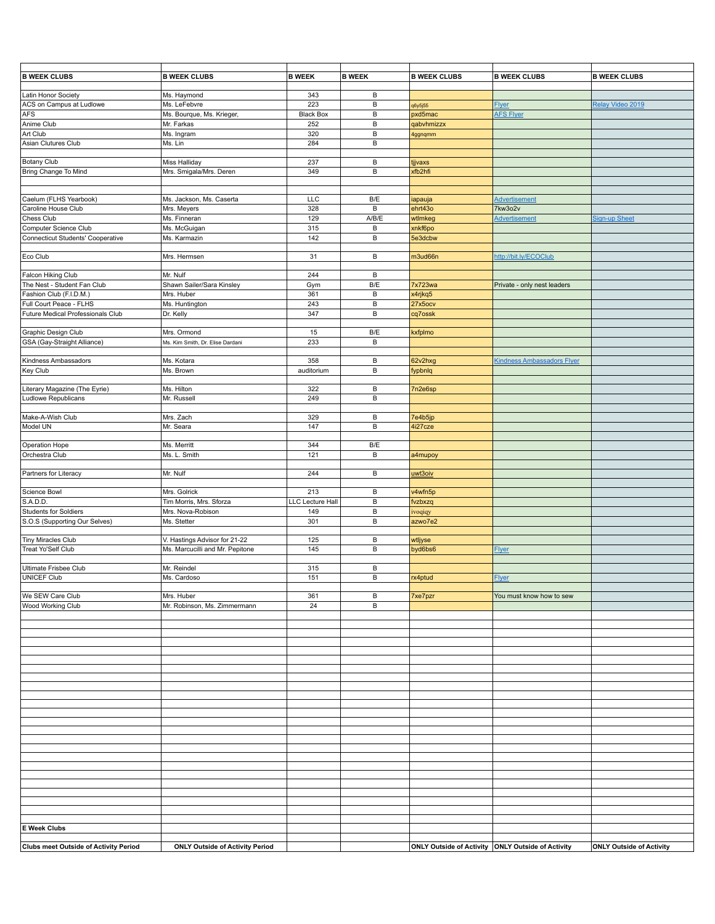| <b>B WEEK CLUBS</b>                          | <b>B WEEK CLUBS</b>                    | <b>B WEEK</b>    | <b>B WEEK</b> | <b>B WEEK CLUBS</b>                               | <b>B WEEK CLUBS</b>               | <b>B WEEK CLUBS</b>             |
|----------------------------------------------|----------------------------------------|------------------|---------------|---------------------------------------------------|-----------------------------------|---------------------------------|
|                                              |                                        |                  |               |                                                   |                                   |                                 |
| Latin Honor Society                          | Ms. Haymond                            | 343              | B             |                                                   |                                   |                                 |
| ACS on Campus at Ludlowe                     | Ms. LeFebvre                           | 223              | B             |                                                   | <b>Flyer</b>                      | Relay Video 2019                |
| AFS                                          | Ms. Bourque, Ms. Krieger,              | <b>Black Box</b> | B             | q6y5j55<br>pxd5mac                                | <b>AFS Flyer</b>                  |                                 |
|                                              |                                        |                  |               |                                                   |                                   |                                 |
| Anime Club                                   | Mr. Farkas                             | 252              | В             | qabvhmizzx                                        |                                   |                                 |
| Art Club                                     | Ms. Ingram                             | 320              | B             | 4ggnqmm                                           |                                   |                                 |
| Asian Clutures Club                          | Ms. Lin                                | 284              | B             |                                                   |                                   |                                 |
|                                              |                                        |                  |               |                                                   |                                   |                                 |
| Botany Club                                  | <b>Miss Halliday</b>                   | 237              | В             | tjjvaxs                                           |                                   |                                 |
| Bring Change To Mind                         | Mrs. Smigala/Mrs. Deren                | 349              | B             | xfb2hfi                                           |                                   |                                 |
|                                              |                                        |                  |               |                                                   |                                   |                                 |
|                                              |                                        |                  |               |                                                   |                                   |                                 |
| Caelum (FLHS Yearbook)                       | Ms. Jackson, Ms. Caserta               | LLC              | B/E           | iapauja                                           | <b>Advertisement</b>              |                                 |
| Caroline House Club                          | Mrs. Meyers                            | 328              | B             | ehrt43o                                           | <b>7kw3o2v</b>                    |                                 |
| Chess Club                                   | Ms. Finneran                           | 129              | A/B/E         | wtlmkeg                                           | Advertisement                     | Sign-up Sheet                   |
| Computer Science Club                        |                                        | 315              | B             |                                                   |                                   |                                 |
|                                              | Ms. McGuigan                           |                  |               | xnkf6po                                           |                                   |                                 |
| <b>Connecticut Students' Cooperative</b>     | Ms. Karmazin                           | 142              | В             | 5e3dcbw                                           |                                   |                                 |
|                                              |                                        |                  |               |                                                   |                                   |                                 |
| Eco Club                                     | Mrs. Hermsen                           | 31               | B             | m3ud66n                                           | http://bit.ly/ECOClub             |                                 |
|                                              |                                        |                  |               |                                                   |                                   |                                 |
| Falcon Hiking Club                           | Mr. Nulf                               | 244              | В             |                                                   |                                   |                                 |
| The Nest - Student Fan Club                  | Shawn Sailer/Sara Kinsley              | Gym              | B/E           | 7x723wa                                           | Private - only nest leaders       |                                 |
| Fashion Club (F.I.D.M.)                      | Mrs. Huber                             | 361              | B             | x4rjkq5                                           |                                   |                                 |
| Full Court Peace - FLHS                      | Ms. Huntington                         | 243              | B             | 27x5ocv                                           |                                   |                                 |
| Future Medical Professionals Club            |                                        | 347              | B             |                                                   |                                   |                                 |
|                                              | Dr. Kelly                              |                  |               | cq7ossk                                           |                                   |                                 |
|                                              |                                        |                  |               |                                                   |                                   |                                 |
| Graphic Design Club                          | Mrs. Ormond                            | 15               | B/E           | kxfplmo                                           |                                   |                                 |
| GSA (Gay-Straight Alliance)                  | Ms. Kim Smith, Dr. Elise Dardani       | 233              | B             |                                                   |                                   |                                 |
|                                              |                                        |                  |               |                                                   |                                   |                                 |
| Kindness Ambassadors                         | Ms. Kotara                             | 358              | B             | 62v2hxg                                           | <b>Kindness Ambassadors Flyer</b> |                                 |
| Key Club                                     | Ms. Brown                              | auditorium       | B             | fypbnlq                                           |                                   |                                 |
|                                              |                                        |                  |               |                                                   |                                   |                                 |
| Literary Magazine (The Eyrie)                | Ms. Hilton                             | 322              | B             | 7n2e6sp                                           |                                   |                                 |
| Ludlowe Republicans                          | Mr. Russell                            | 249              | B             |                                                   |                                   |                                 |
|                                              |                                        |                  |               |                                                   |                                   |                                 |
|                                              |                                        |                  |               |                                                   |                                   |                                 |
| Make-A-Wish Club                             | Mrs. Zach                              | 329              | В             | 7e4b5jp                                           |                                   |                                 |
| Model UN                                     | Mr. Seara                              | 147              | B             | 4i27cze                                           |                                   |                                 |
|                                              |                                        |                  |               |                                                   |                                   |                                 |
| Operation Hope                               | Ms. Merritt                            | 344              | B/E           |                                                   |                                   |                                 |
| Orchestra Club                               | Ms. L. Smith                           | 121              | $\, {\bf B}$  | a4mupoy                                           |                                   |                                 |
|                                              |                                        |                  |               |                                                   |                                   |                                 |
| Partners for Literacy                        | Mr. Nulf                               | 244              | B             | uwt3oiv                                           |                                   |                                 |
|                                              |                                        |                  |               |                                                   |                                   |                                 |
| Science Bowl                                 | Mrs. Golrick                           | 213              | В             | v4wfn5p                                           |                                   |                                 |
| S.A.D.D.                                     | Tim Morris, Mrs. Sforza                | LLC Lecture Hall | B             | fvzbxzq                                           |                                   |                                 |
| <b>Students for Soldiers</b>                 | Mrs. Nova-Robison                      | 149              | B             |                                                   |                                   |                                 |
|                                              | Ms. Stetter                            | 301              | B             | ivoqiqy<br>azwo7e2                                |                                   |                                 |
| S.O.S (Supporting Our Selves)                |                                        |                  |               |                                                   |                                   |                                 |
|                                              |                                        |                  |               |                                                   |                                   |                                 |
| Tiny Miracles Club                           | V. Hastings Advisor for 21-22          | 125              | В             | wtljyse                                           |                                   |                                 |
| Treat Yo'Self Club                           | Ms. Marcucilli and Mr. Pepitone        | 145              | В             | byd6bs6                                           | <b>Flyer</b>                      |                                 |
|                                              |                                        |                  |               |                                                   |                                   |                                 |
| Ultimate Frisbee Club                        | Mr. Reindel                            | 315              | В             |                                                   |                                   |                                 |
| <b>UNICEF Club</b>                           | Ms. Cardoso                            | 151              | B             | rx4ptud                                           | <b>Flyer</b>                      |                                 |
|                                              |                                        |                  |               |                                                   |                                   |                                 |
| We SEW Care Club                             | Mrs. Huber                             | 361              | B             | 7xe7pzr                                           | You must know how to sew          |                                 |
| Wood Working Club                            | Mr. Robinson, Ms. Zimmermann           | 24               | B             |                                                   |                                   |                                 |
|                                              |                                        |                  |               |                                                   |                                   |                                 |
|                                              |                                        |                  |               |                                                   |                                   |                                 |
|                                              |                                        |                  |               |                                                   |                                   |                                 |
|                                              |                                        |                  |               |                                                   |                                   |                                 |
|                                              |                                        |                  |               |                                                   |                                   |                                 |
|                                              |                                        |                  |               |                                                   |                                   |                                 |
|                                              |                                        |                  |               |                                                   |                                   |                                 |
|                                              |                                        |                  |               |                                                   |                                   |                                 |
|                                              |                                        |                  |               |                                                   |                                   |                                 |
|                                              |                                        |                  |               |                                                   |                                   |                                 |
|                                              |                                        |                  |               |                                                   |                                   |                                 |
|                                              |                                        |                  |               |                                                   |                                   |                                 |
|                                              |                                        |                  |               |                                                   |                                   |                                 |
|                                              |                                        |                  |               |                                                   |                                   |                                 |
|                                              |                                        |                  |               |                                                   |                                   |                                 |
|                                              |                                        |                  |               |                                                   |                                   |                                 |
|                                              |                                        |                  |               |                                                   |                                   |                                 |
|                                              |                                        |                  |               |                                                   |                                   |                                 |
|                                              |                                        |                  |               |                                                   |                                   |                                 |
|                                              |                                        |                  |               |                                                   |                                   |                                 |
|                                              |                                        |                  |               |                                                   |                                   |                                 |
|                                              |                                        |                  |               |                                                   |                                   |                                 |
|                                              |                                        |                  |               |                                                   |                                   |                                 |
|                                              |                                        |                  |               |                                                   |                                   |                                 |
|                                              |                                        |                  |               |                                                   |                                   |                                 |
| <b>E Week Clubs</b>                          |                                        |                  |               |                                                   |                                   |                                 |
|                                              |                                        |                  |               |                                                   |                                   |                                 |
| <b>Clubs meet Outside of Activity Period</b> | <b>ONLY Outside of Activity Period</b> |                  |               | ONLY Outside of Activity ONLY Outside of Activity |                                   | <b>ONLY Outside of Activity</b> |